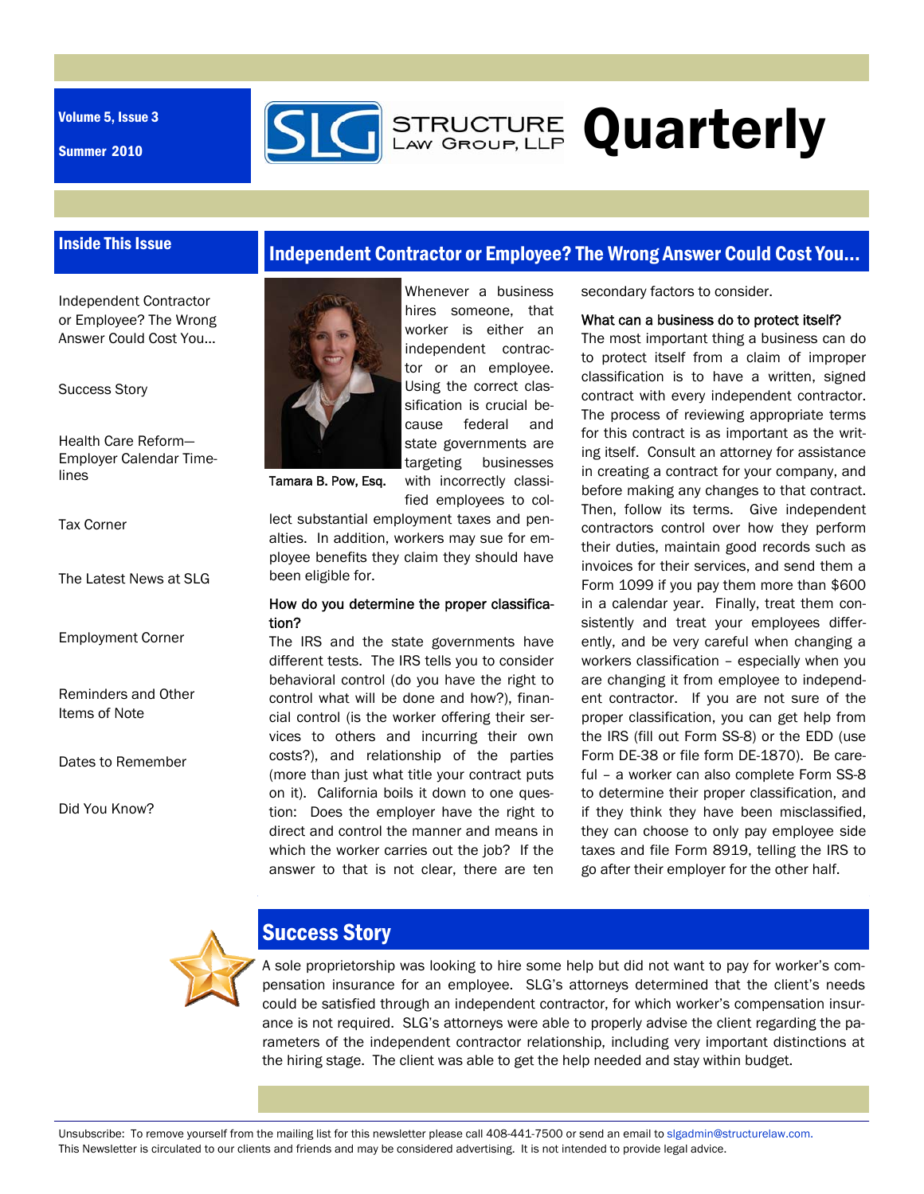Volume 5, Issue 3

Summer 2010



# **STRUCTURE Quarterly**

## Inside This Issue

Independent Contractor or Employee? The Wrong Answer Could Cost You...

Success Story

Health Care Reform— Employer Calendar Timelines

Tax Corner

The Latest News at SLG

Employment Corner

Reminders and Other Items of Note

Dates to Remember

Did You Know?

## Independent Contractor or Employee? The Wrong Answer Could Cost You...



Tamara B. Pow, Esq.

lect substantial employment taxes and penalties. In addition, workers may sue for employee benefits they claim they should have been eligible for.

with incorrectly classified employees to col-

#### How do you determine the proper classification?

The IRS and the state governments have different tests. The IRS tells you to consider behavioral control (do you have the right to control what will be done and how?), financial control (is the worker offering their services to others and incurring their own costs?), and relationship of the parties (more than just what title your contract puts on it). California boils it down to one question: Does the employer have the right to direct and control the manner and means in which the worker carries out the job? If the answer to that is not clear, there are ten

secondary factors to consider.

#### What can a business do to protect itself?

The most important thing a business can do to protect itself from a claim of improper classification is to have a written, signed contract with every independent contractor. The process of reviewing appropriate terms for this contract is as important as the writing itself. Consult an attorney for assistance in creating a contract for your company, and before making any changes to that contract. Then, follow its terms. Give independent contractors control over how they perform their duties, maintain good records such as invoices for their services, and send them a Form 1099 if you pay them more than \$600 in a calendar year. Finally, treat them consistently and treat your employees differently, and be very careful when changing a workers classification – especially when you are changing it from employee to independent contractor. If you are not sure of the proper classification, you can get help from the IRS (fill out Form SS-8) or the EDD (use Form DE-38 or file form DE-1870). Be careful – a worker can also complete Form SS-8 to determine their proper classification, and if they think they have been misclassified, they can choose to only pay employee side taxes and file Form 8919, telling the IRS to go after their employer for the other half.



## Success Story

A sole proprietorship was looking to hire some help but did not want to pay for worker's compensation insurance for an employee. SLG's attorneys determined that the client's needs could be satisfied through an independent contractor, for which worker's compensation insurance is not required. SLG's attorneys were able to properly advise the client regarding the parameters of the independent contractor relationship, including very important distinctions at the hiring stage. The client was able to get the help needed and stay within budget.

Unsubscribe: To remove yourself from the mailing list for this newsletter please call 408-441-7500 or send an email to slgadmin@structurelaw.com. This Newsletter is circulated to our clients and friends and may be considered advertising. It is not intended to provide legal advice.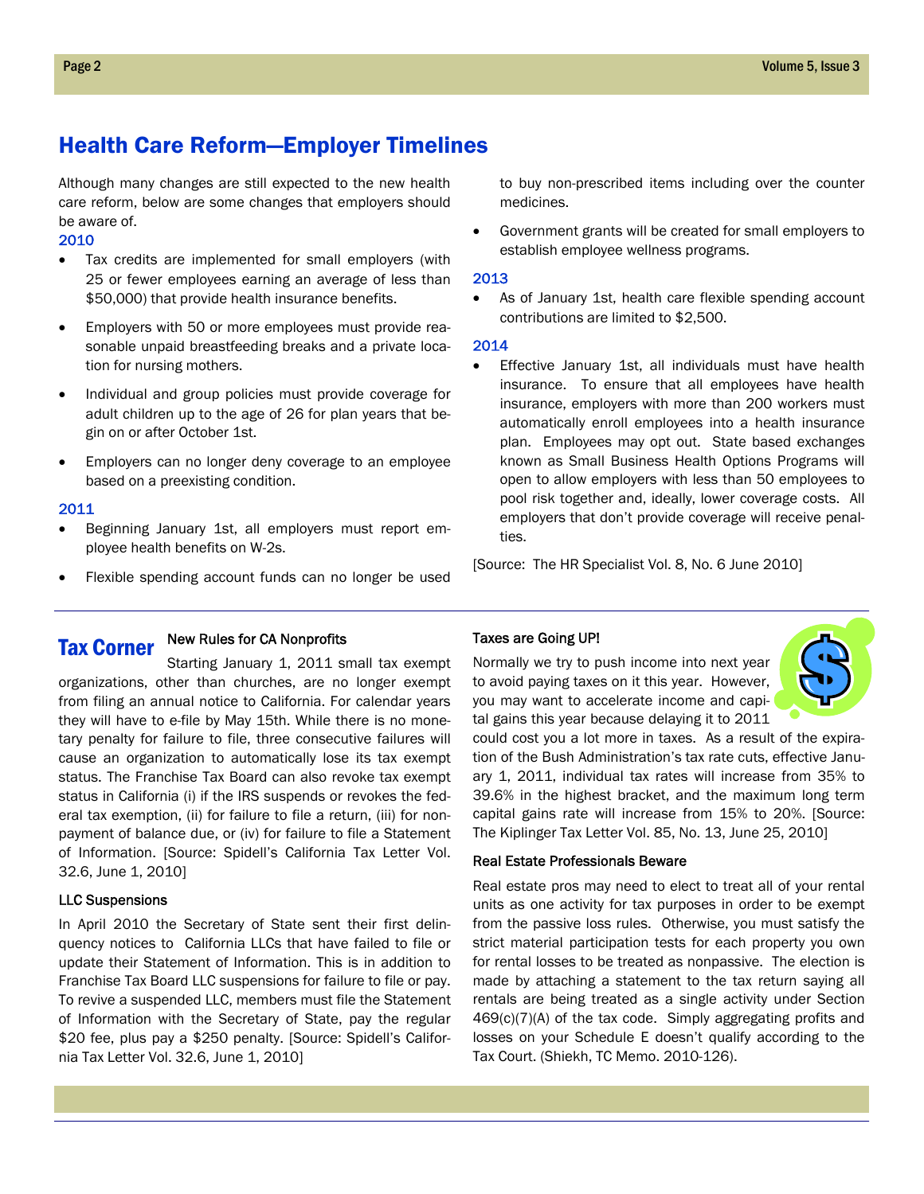## Health Care Reform—Employer Timelines

Although many changes are still expected to the new health care reform, below are some changes that employers should be aware of.

2010

- Tax credits are implemented for small employers (with 25 or fewer employees earning an average of less than \$50,000) that provide health insurance benefits.
- Employers with 50 or more employees must provide reasonable unpaid breastfeeding breaks and a private location for nursing mothers.
- Individual and group policies must provide coverage for adult children up to the age of 26 for plan years that begin on or after October 1st.
- Employers can no longer deny coverage to an employee based on a preexisting condition.

#### 2011

- Beginning January 1st, all employers must report employee health benefits on W-2s.
- Flexible spending account funds can no longer be used

to buy non-prescribed items including over the counter medicines.

 Government grants will be created for small employers to establish employee wellness programs.

#### 2013

 As of January 1st, health care flexible spending account contributions are limited to \$2,500.

#### 2014

 Effective January 1st, all individuals must have health insurance. To ensure that all employees have health insurance, employers with more than 200 workers must automatically enroll employees into a health insurance plan. Employees may opt out. State based exchanges known as Small Business Health Options Programs will open to allow employers with less than 50 employees to pool risk together and, ideally, lower coverage costs. All employers that don't provide coverage will receive penalties.

[Source: The HR Specialist Vol. 8, No. 6 June 2010]

#### New Rules for CA Nonprofits Tax Corner

Starting January 1, 2011 small tax exempt organizations, other than churches, are no longer exempt from filing an annual notice to California. For calendar years they will have to e-file by May 15th. While there is no monetary penalty for failure to file, three consecutive failures will cause an organization to automatically lose its tax exempt status. The Franchise Tax Board can also revoke tax exempt status in California (i) if the IRS suspends or revokes the federal tax exemption, (ii) for failure to file a return, (iii) for nonpayment of balance due, or (iv) for failure to file a Statement of Information. [Source: Spidell's California Tax Letter Vol. 32.6, June 1, 2010]

### LLC Suspensions

In April 2010 the Secretary of State sent their first delinquency notices to California LLCs that have failed to file or update their Statement of Information. This is in addition to Franchise Tax Board LLC suspensions for failure to file or pay. To revive a suspended LLC, members must file the Statement of Information with the Secretary of State, pay the regular \$20 fee, plus pay a \$250 penalty. [Source: Spidell's California Tax Letter Vol. 32.6, June 1, 2010]

#### Taxes are Going UP!

Normally we try to push income into next year to avoid paying taxes on it this year. However, you may want to accelerate income and capital gains this year because delaying it to 2011



could cost you a lot more in taxes. As a result of the expiration of the Bush Administration's tax rate cuts, effective January 1, 2011, individual tax rates will increase from 35% to 39.6% in the highest bracket, and the maximum long term capital gains rate will increase from 15% to 20%. [Source: The Kiplinger Tax Letter Vol. 85, No. 13, June 25, 2010]

#### Real Estate Professionals Beware

Real estate pros may need to elect to treat all of your rental units as one activity for tax purposes in order to be exempt from the passive loss rules. Otherwise, you must satisfy the strict material participation tests for each property you own for rental losses to be treated as nonpassive. The election is made by attaching a statement to the tax return saying all rentals are being treated as a single activity under Section 469(c)(7)(A) of the tax code. Simply aggregating profits and losses on your Schedule E doesn't qualify according to the Tax Court. (Shiekh, TC Memo. 2010-126).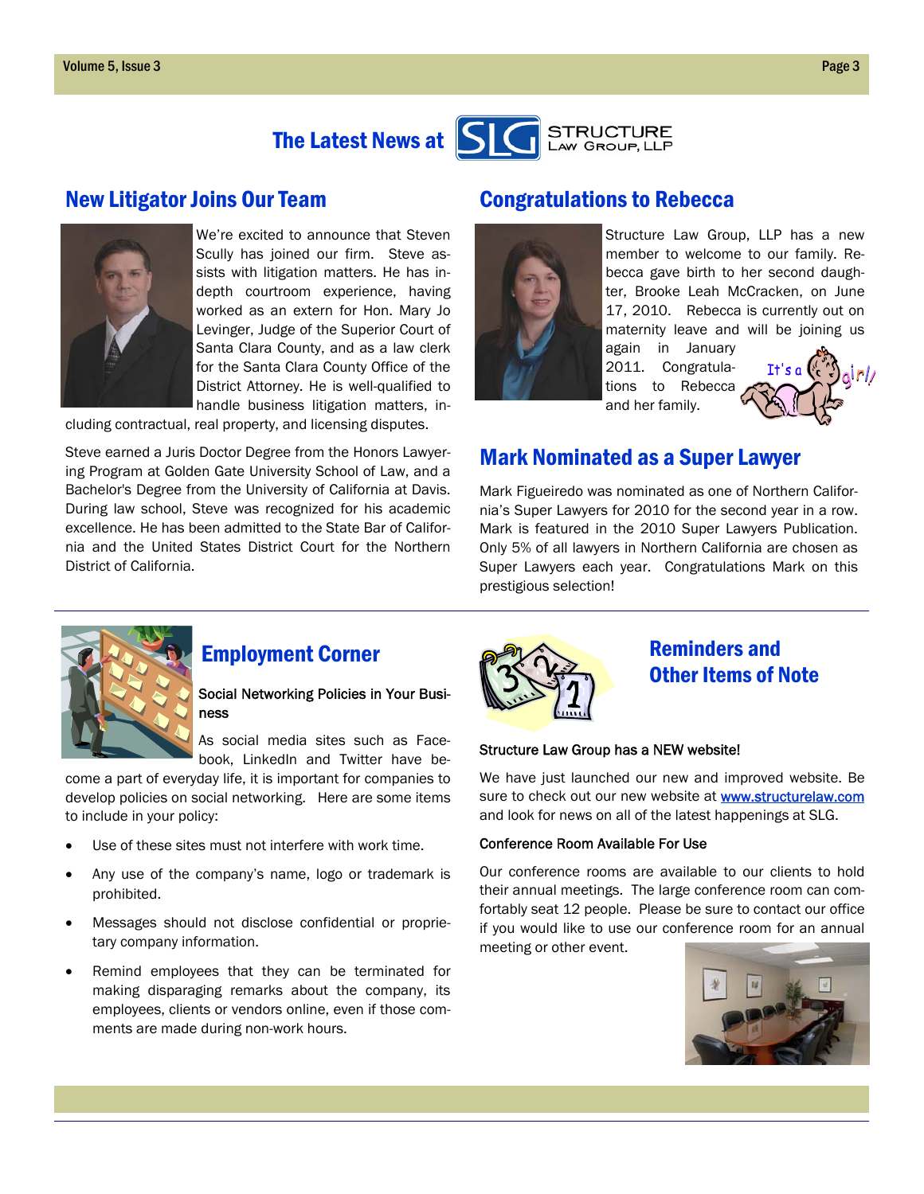



We're excited to announce that Steven Scully has joined our firm. Steve assists with litigation matters. He has indepth courtroom experience, having worked as an extern for Hon. Mary Jo Levinger, Judge of the Superior Court of Santa Clara County, and as a law clerk for the Santa Clara County Office of the District Attorney. He is well-qualified to handle business litigation matters, in-

cluding contractual, real property, and licensing disputes.

Steve earned a Juris Doctor Degree from the Honors Lawyering Program at Golden Gate University School of Law, and a Bachelor's Degree from the University of California at Davis. During law school, Steve was recognized for his academic excellence. He has been admitted to the State Bar of California and the United States District Court for the Northern District of California.

## New Litigator Joins Our Team Congratulations to Rebecca



Structure Law Group, LLP has a new member to welcome to our family. Rebecca gave birth to her second daughter, Brooke Leah McCracken, on June 17, 2010. Rebecca is currently out on maternity leave and will be joining us

again in January 2011. Congratulations to Rebecca and her family.



## Mark Nominated as a Super Lawyer

Mark Figueiredo was nominated as one of Northern California's Super Lawyers for 2010 for the second year in a row. Mark is featured in the 2010 Super Lawyers Publication. Only 5% of all lawyers in Northern California are chosen as Super Lawyers each year. Congratulations Mark on this prestigious selection!



## Employment Corner

### Social Networking Policies in Your Business

As social media sites such as Facebook, LinkedIn and Twitter have be-

come a part of everyday life, it is important for companies to develop policies on social networking. Here are some items to include in your policy:

- Use of these sites must not interfere with work time.
- Any use of the company's name, logo or trademark is prohibited.
- Messages should not disclose confidential or proprietary company information.
- Remind employees that they can be terminated for making disparaging remarks about the company, its employees, clients or vendors online, even if those comments are made during non-work hours.



## Reminders and Other Items of Note

#### Structure Law Group has a NEW website!

We have just launched our new and improved website. Be sure to check out our new website at **www.structurelaw.com** and look for news on all of the latest happenings at SLG.

#### Conference Room Available For Use

Our conference rooms are available to our clients to hold their annual meetings. The large conference room can comfortably seat 12 people. Please be sure to contact our office if you would like to use our conference room for an annual meeting or other event.